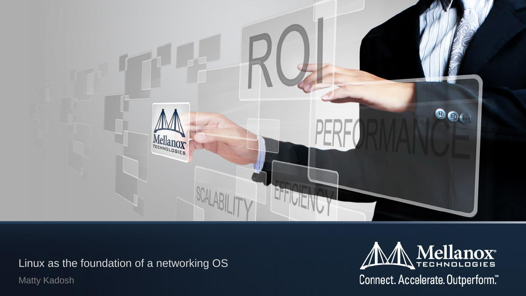

Linux as the foundation of a networking OS

Matty Kadosh



# Mellanox Connect. Accelerate. Outperform."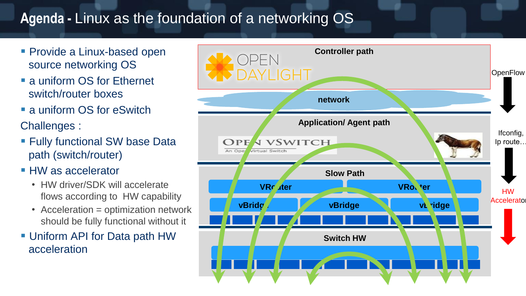#### **Agenda -** Linux as the foundation of a networking OS

- **Provide a Linux-based open** source networking OS
- **a** uniform OS for Ethernet switch/router boxes
- **a** uniform OS for eSwitch Challenges :
- **Fully functional SW base Data** path (switch/router)
- **HW** as accelerator
	- HW driver/SDK will accelerate flows according to HW capability
	- Acceleration = optimization network should be fully functional without it
- **Uniform API for Data path HW** acceleration

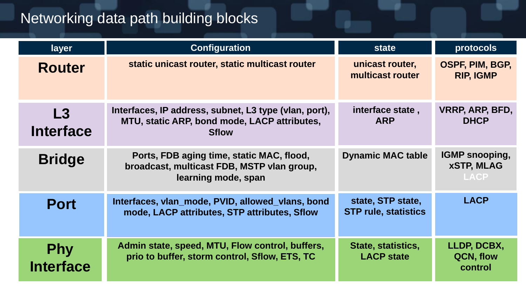#### Networking data path building blocks

| layer                          | <b>Configuration</b>                                                                                                  | <b>state</b>                                     | protocols                                             |
|--------------------------------|-----------------------------------------------------------------------------------------------------------------------|--------------------------------------------------|-------------------------------------------------------|
| <b>Router</b>                  | static unicast router, static multicast router                                                                        | unicast router,<br>multicast router              | OSPF, PIM, B<br><b>RIP, IGMP</b>                      |
| L3<br><b>Interface</b>         | Interfaces, IP address, subnet, L3 type (vlan, port),<br>MTU, static ARP, bond mode, LACP attributes,<br><b>Sflow</b> | interface state,<br><b>ARP</b>                   | <b>VRRP, ARP, B</b><br><b>DHCP</b>                    |
| <b>Bridge</b>                  | Ports, FDB aging time, static MAC, flood,<br>broadcast, multicast FDB, MSTP vlan group,<br>learning mode, span        | <b>Dynamic MAC table</b>                         | <b>IGMP snoopi</b><br><b>xSTP, MLA</b><br><b>LACP</b> |
| <b>Port</b>                    | Interfaces, vlan_mode, PVID, allowed_vlans, bond<br>mode, LACP attributes, STP attributes, Sflow                      | state, STP state,<br><b>STP rule, statistics</b> | <b>LACP</b>                                           |
| <b>Phy</b><br><b>Interface</b> | Admin state, speed, MTU, Flow control, buffers,<br>prio to buffer, storm control, Sflow, ETS, TC                      | State, statistics,<br><b>LACP state</b>          | LLDP, DCB.<br>QCN, flow<br>control                    |

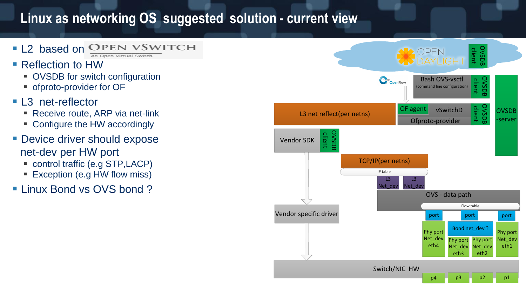#### **Linux as networking OS suggested solution - current view**

- **L2** based on OPEN VSWITCH An Open Virtual Switch
- Reflection to HW
	- OVSDB for switch configuration
	- **ofproto-provider for OF**
- **L3** net-reflector
	- Receive route, ARP via net-link
	- Configure the HW accordingly
- **Device driver should expose** net-dev per HW port
	- control traffic (e.g STP, LACP)
	- Exception (e.g HW flow miss)
- **Linux Bond vs OVS bond?**

![](_page_3_Figure_12.jpeg)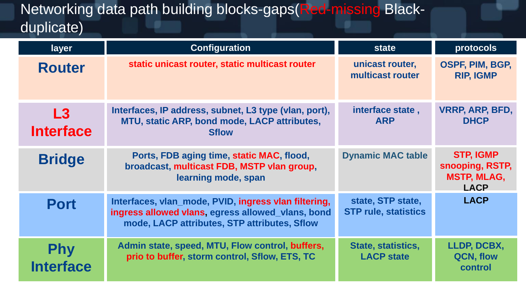### Networking data path building blocks-gaps(Red-missing Blackduplicate)

| layer                          | <b>Configuration</b>                                                                                                                                      | <b>state</b>                                     | protocols                                                           |
|--------------------------------|-----------------------------------------------------------------------------------------------------------------------------------------------------------|--------------------------------------------------|---------------------------------------------------------------------|
| <b>Router</b>                  | static unicast router, static multicast router                                                                                                            | unicast router,<br>multicast router              | <b>OSPF, PIM, B</b><br><b>RIP, IGMP</b>                             |
| L3<br><b>Interface</b>         | Interfaces, IP address, subnet, L3 type (vlan, port),<br>MTU, static ARP, bond mode, LACP attributes,<br><b>Sflow</b>                                     | interface state,<br><b>ARP</b>                   | <b>VRRP, ARP, B</b><br><b>DHCP</b>                                  |
| <b>Bridge</b>                  | Ports, FDB aging time, static MAC, flood,<br>broadcast, multicast FDB, MSTP vlan group,<br>learning mode, span                                            | <b>Dynamic MAC table</b>                         | <b>STP, IGMF</b><br>snooping, RS<br><b>MSTP, MLA</b><br><b>LACP</b> |
| <b>Port</b>                    | Interfaces, vlan_mode, PVID, ingress vlan filtering,<br>ingress allowed vlans, egress allowed_vlans, bond<br>mode, LACP attributes, STP attributes, Sflow | state, STP state,<br><b>STP rule, statistics</b> | <b>LACP</b>                                                         |
| <b>Phy</b><br><b>Interface</b> | Admin state, speed, MTU, Flow control, buffers,<br>prio to buffer, storm control, Sflow, ETS, TC                                                          | State, statistics,<br><b>LACP state</b>          | LLDP, DCB.<br><b>QCN, flow</b><br>control                           |

![](_page_4_Picture_2.jpeg)

#### **LLDP, DCBX, QCN, flow static unicast router, static multicast router OSPF, PIM, BGP, RIP, IGMP VRRP, ARP, BFD, DHCP STP, IGMP snooping, RSTP, MSTP, MLAG, LACP LACP control** te, tics able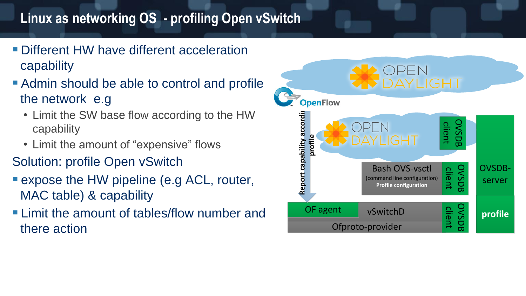#### **Linux as networking OS - profiling Open vSwitch**

- **Different HW have different acceleration** capability
- Admin should be able to control and profile the network e.g
	- Limit the SW base flow according to the HW capability
	- Limit the amount of "expensive" flows
- Solution: profile Open vSwitch
- **Expose the HW pipeline (e.g ACL, router,** MAC table) & capability
- **Example 1 Limit the amount of tables/flow number and** there action

![](_page_5_Figure_8.jpeg)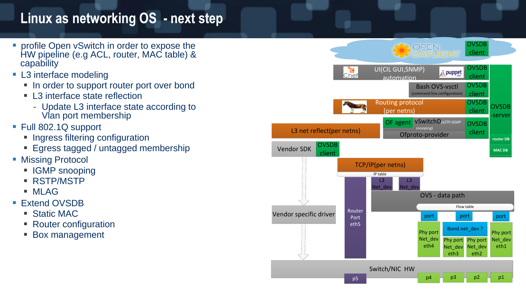#### **Linux as networking OS - next step**

- profile Open vSwitch in order to expose the HW pipeline (e.g ACL, router, MAC table) & capability
- **L3** interface modeling
	- **In order to support router port over bond**
	- L3 interface state reflection
		- Update L3 interface state according to Vlan port membership
- Full 802.1Q support
	- **Ingress filtering configuration**
	- **Egress tagged / untagged membership**
- Missing Protocol
	- **IGMP** snooping
	- RSTP/MSTP
	- MLAG
- Extend OVSDB
	- Static MAC
	- Router configuration
	- **Box management**

![](_page_6_Figure_17.jpeg)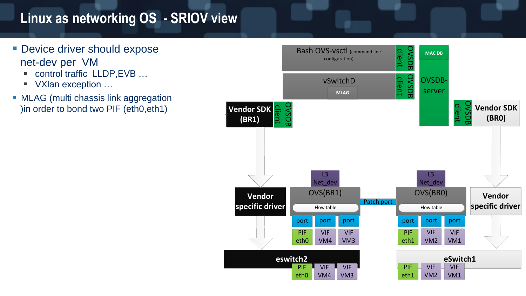#### **Linux as networking OS - SRIOV view**

- **Device driver should expose** net-dev per VM
	- control traffic LLDP, EVB ...
	- VXIan exception ...
- **MLAG** (multi chassis link aggregation )in order to bond two PIF (eth0,eth1)

![](_page_7_Figure_5.jpeg)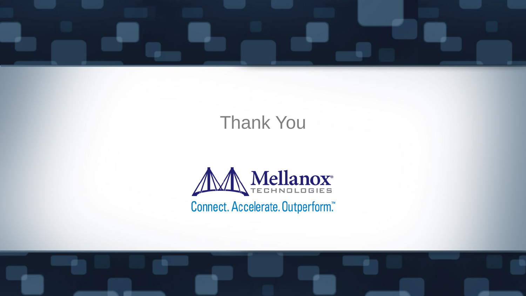![](_page_8_Picture_4.jpeg)

![](_page_8_Picture_5.jpeg)

![](_page_8_Picture_0.jpeg)

## Thank You

![](_page_8_Picture_2.jpeg)

Connect. Accelerate. Outperform."